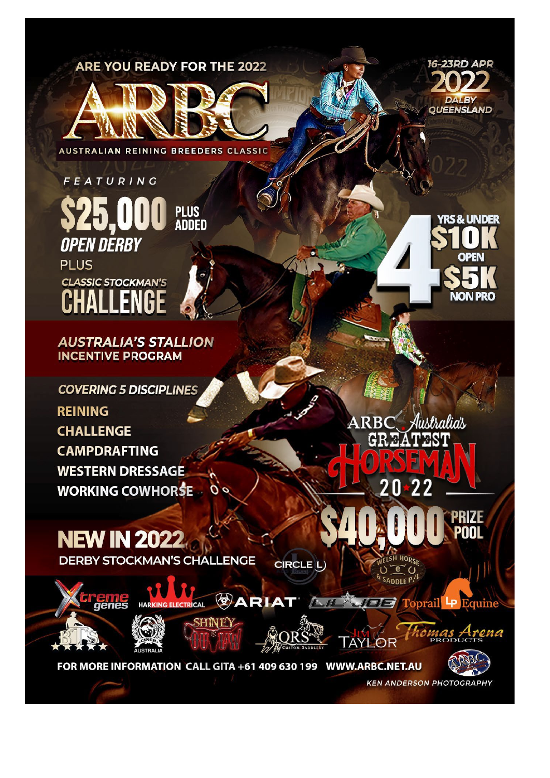## **ARE YOU READY FOR THE 2022**



**AUSTRALIAN REINING BREEDERS CLASSIC** 



**AUSTRALIA'S STALLION INCENTIVE PROGRAM** 

**COVERING 5 DISCIPLINES REINING CHALLENGE CAMPDRAFTING WESTERN DRESSAGE WORKING COWHORSE** 

**ARBC** Australias

 $\overline{2}$ 

Λ

**16-23RD APR** 

**DALBY QUEENSLAND** 

*RS& UNDER* 

**OPEN** 

**NON PRO** 

**NEW IN 2022 DERBY STOCKMAN'S CHALLENGE** 

CIRCLE L





genes



HINEY



**TAYLOR** 



rena

PRIZE

**KEN ANDERSON PHOTOGRAPHY**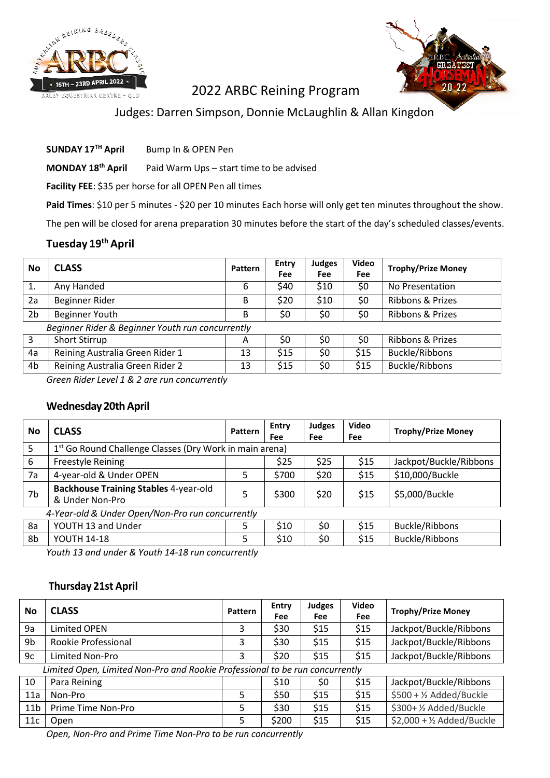



## 2022 ARBC Reining Program

## Judges: Darren Simpson, Donnie McLaughlin & Allan Kingdon

**SUNDAY 17TH April** Bump In & OPEN Pen

**MONDAY 18th April** Paid Warm Ups – start time to be advised

**Facility FEE**: \$35 per horse for all OPEN Pen all times

Paid Times: \$10 per 5 minutes - \$20 per 10 minutes Each horse will only get ten minutes throughout the show.

The pen will be closed for arena preparation 30 minutes before the start of the day's scheduled classes/events.

#### **Tuesday 19th April**

| No             | <b>CLASS</b>                                     | <b>Pattern</b> | Entry<br><b>Fee</b> | <b>Judges</b><br><b>Fee</b> | Video<br>Fee | <b>Trophy/Prize Money</b>   |  |  |
|----------------|--------------------------------------------------|----------------|---------------------|-----------------------------|--------------|-----------------------------|--|--|
| 1.             | Any Handed                                       | 6              | \$40                | \$10                        | \$0          | No Presentation             |  |  |
| 2a             | Beginner Rider                                   | B              | \$20                | \$10                        | \$0          | Ribbons & Prizes            |  |  |
| 2 <sub>b</sub> | <b>Beginner Youth</b>                            | B              | \$0                 | \$0                         | \$0          | <b>Ribbons &amp; Prizes</b> |  |  |
|                | Beginner Rider & Beginner Youth run concurrently |                |                     |                             |              |                             |  |  |
| 3              | <b>Short Stirrup</b>                             | A              | \$0                 | \$0                         | \$0          | Ribbons & Prizes            |  |  |
| 4a             | Reining Australia Green Rider 1                  | 13             | \$15                | \$0                         | \$15         | <b>Buckle/Ribbons</b>       |  |  |
| 4b             | Reining Australia Green Rider 2                  | 13             | \$15                | \$0                         | \$15         | <b>Buckle/Ribbons</b>       |  |  |
|                | $\cdot$ $\cdot$                                  |                |                     |                             |              |                             |  |  |

*Green Rider Level 1 & 2 are run concurrently*

#### **Wednesday 20thApril**

| <b>No</b> | <b>CLASS</b>                                                        | <b>Pattern</b> | Entry<br>Fee | <b>Judges</b><br><b>Fee</b> | <b>Video</b><br>Fee | <b>Trophy/Prize Money</b> |  |  |
|-----------|---------------------------------------------------------------------|----------------|--------------|-----------------------------|---------------------|---------------------------|--|--|
| 5         | 1 <sup>st</sup> Go Round Challenge Classes (Dry Work in main arena) |                |              |                             |                     |                           |  |  |
| 6         | <b>Freestyle Reining</b>                                            |                | \$25         | \$25                        | \$15                | Jackpot/Buckle/Ribbons    |  |  |
| 7a        | 4-year-old & Under OPEN                                             | 5              | \$700        | \$20                        | \$15                | \$10,000/Buckle           |  |  |
| 7b        | <b>Backhouse Training Stables 4-year-old</b><br>& Under Non-Pro     | 5              | \$300        | \$20                        | \$15                | \$5,000/Buckle            |  |  |
|           | 4-Year-old & Under Open/Non-Pro run concurrently                    |                |              |                             |                     |                           |  |  |
| 8a        | YOUTH 13 and Under                                                  | 5              | \$10         | \$0                         | \$15                | Buckle/Ribbons            |  |  |
| 8b        | <b>YOUTH 14-18</b>                                                  | 5              | \$10         | \$0                         | \$15                | <b>Buckle/Ribbons</b>     |  |  |

*Youth 13 and under & Youth 14-18 run concurrently*

#### **Thursday 21st April**

| <b>No</b>       | <b>CLASS</b>                                                                 | Pattern | Entry<br>Fee | <b>Judges</b><br>Fee | <b>Video</b><br>Fee | <b>Trophy/Prize Money</b>           |  |
|-----------------|------------------------------------------------------------------------------|---------|--------------|----------------------|---------------------|-------------------------------------|--|
| 9a              | Limited OPEN                                                                 | 3       | \$30         | \$15                 | \$15                | Jackpot/Buckle/Ribbons              |  |
| 9b              | Rookie Professional                                                          | 3       | \$30         | \$15                 | \$15                | Jackpot/Buckle/Ribbons              |  |
| 9c              | Limited Non-Pro                                                              | 3       | \$20         | \$15                 | \$15                | Jackpot/Buckle/Ribbons              |  |
|                 | Limited Open, Limited Non-Pro and Rookie Professional to be run concurrently |         |              |                      |                     |                                     |  |
| 10              | Para Reining                                                                 |         | \$10         | \$0                  | \$15                | Jackpot/Buckle/Ribbons              |  |
| 11a             | Non-Pro                                                                      | 5       | \$50         | \$15                 | \$15                | \$500 + 1/2 Added/Buckle            |  |
| 11 <sub>b</sub> | Prime Time Non-Pro                                                           | 5       | \$30         | \$15                 | \$15                | \$300+1/2 Added/Buckle              |  |
| 11c             | Open                                                                         | 5       | \$200        | \$15                 | \$15                | $$2,000 + \frac{1}{2}$ Added/Buckle |  |

*Open, Non-Pro and Prime Time Non-Pro to be run concurrently*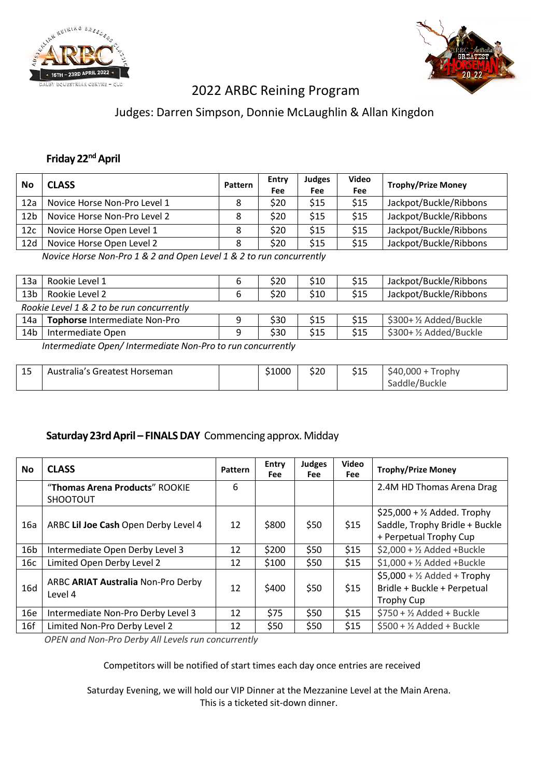



# 2022 ARBC Reining Program

## Judges: Darren Simpson, Donnie McLaughlin & Allan Kingdon

## **Friday** 22<sup>nd</sup> April

| No              | <b>CLASS</b>                 | Pattern | Entry<br>Fee | Judges<br><b>Fee</b> | <b>Video</b><br>Fee | <b>Trophy/Prize Money</b> |
|-----------------|------------------------------|---------|--------------|----------------------|---------------------|---------------------------|
| 12a             | Novice Horse Non-Pro Level 1 | 8       | \$20         | \$15                 | \$15                | Jackpot/Buckle/Ribbons    |
| 12 <sub>b</sub> | Novice Horse Non-Pro Level 2 | 8       | \$20         | \$15                 | \$15                | Jackpot/Buckle/Ribbons    |
| 12 <sub>c</sub> | Novice Horse Open Level 1    | 8       | \$20         | \$15                 | \$15                | Jackpot/Buckle/Ribbons    |
| 12d             | Novice Horse Open Level 2    | 8       | \$20         | \$15                 | \$15                | Jackpot/Buckle/Ribbons    |

*Novice Horse Non-Pro 1 & 2 and Open Level 1 & 2 to run concurrently*

| 13a                                                        | Rookie Level 1                            |          | \$20 | \$10 | \$15 | Jackpot/Buckle/Ribbons |
|------------------------------------------------------------|-------------------------------------------|----------|------|------|------|------------------------|
| 13 <sub>b</sub>                                            | Rookie Level 2                            | 6        | \$20 | \$10 | \$15 | Jackpot/Buckle/Ribbons |
|                                                            | Rookie Level 1 & 2 to be run concurrently |          |      |      |      |                        |
| 14a                                                        | Tophorse Intermediate Non-Pro             | $\Omega$ | \$30 | \$15 | \$15 | \$300+1/2 Added/Buckle |
| 14 <sub>b</sub>                                            | Intermediate Open                         |          | \$30 | \$15 | \$15 | \$300+1/2 Added/Buckle |
| Intermediate Open/Intermediate Nep Bro to run concurrently |                                           |          |      |      |      |                        |

*Intermediate Open/ Intermediate Non-Pro to run concurrently*

| 15<br>-- | Australia's Greatest Horseman |  | \$1000 | \$20 | \$15 | $$40.000 +$<br>Trophy<br>Saddle/Buckle |
|----------|-------------------------------|--|--------|------|------|----------------------------------------|
|----------|-------------------------------|--|--------|------|------|----------------------------------------|

### **Saturday 23rdApril – FINALSDAY** Commencing approx. Midday

| <b>No</b>       | <b>CLASS</b>                                      | <b>Pattern</b> | Entry<br><b>Fee</b> | <b>Judges</b><br>Fee | Video<br>Fee | <b>Trophy/Prize Money</b>                                                                         |
|-----------------|---------------------------------------------------|----------------|---------------------|----------------------|--------------|---------------------------------------------------------------------------------------------------|
|                 | "Thomas Arena Products" ROOKIE<br><b>SHOOTOUT</b> | 6              |                     |                      |              | 2.4M HD Thomas Arena Drag                                                                         |
| 16a             | ARBC Lil Joe Cash Open Derby Level 4              | 12             | \$800               | \$50                 | \$15         | $$25,000 + \frac{1}{2}$ Added. Trophy<br>Saddle, Trophy Bridle + Buckle<br>+ Perpetual Trophy Cup |
| 16 <sub>b</sub> | Intermediate Open Derby Level 3                   | 12             | \$200               | \$50                 | \$15         | $$2,000 + \frac{1}{2}$ Added +Buckle                                                              |
| 16c             | Limited Open Derby Level 2                        | 12             | \$100               | \$50                 | \$15         | $$1,000 + \frac{1}{2}$ Added +Buckle                                                              |
| 16d             | ARBC ARIAT Australia Non-Pro Derby<br>Level 4     | 12             | \$400               | \$50                 | \$15         | $$5,000 + \frac{1}{2}$ Added + Trophy<br>Bridle + Buckle + Perpetual<br><b>Trophy Cup</b>         |
| 16e             | Intermediate Non-Pro Derby Level 3                | 12             | \$75                | \$50                 | \$15         | $$750 + ½$ Added + Buckle                                                                         |
| 16f             | Limited Non-Pro Derby Level 2                     | 12             | \$50                | \$50                 | \$15         | $$500 + ½$ Added + Buckle                                                                         |

*OPEN and Non-Pro Derby All Levels run concurrently*

Competitors will be notified of start times each day once entries are received

Saturday Evening, we will hold our VIP Dinner at the Mezzanine Level at the Main Arena. This is a ticketed sit-down dinner.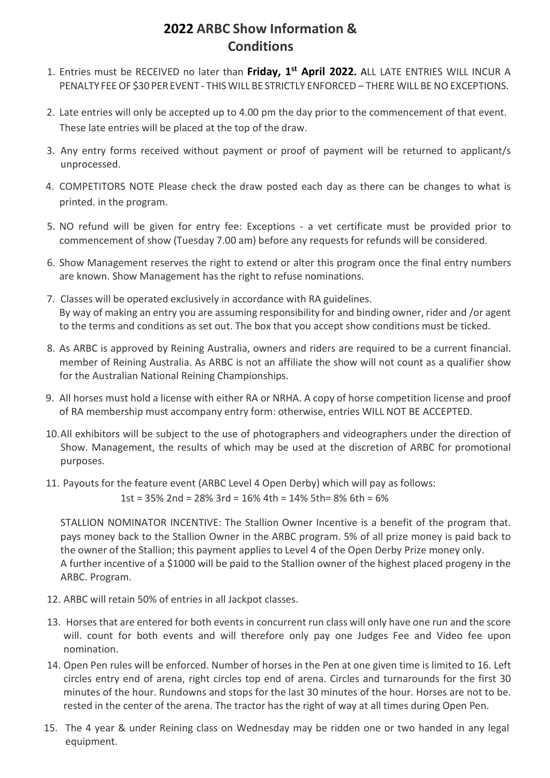# **2022 ARBC Show Information & Conditions**

- 1. Entries must be RECEIVED no later than **Friday, 1st April 2022.** ALL LATE ENTRIES WILL INCUR A PENALTY FEE OF \$30 PER EVENT - THIS WILL BE STRICTLY ENFORCED – THERE WILL BE NO EXCEPTIONS.
- 2. Late entries will only be accepted up to 4.00 pm the day prior to the commencement of that event. These late entries will be placed at the top of the draw.
- 3. Any entry forms received without payment or proof of payment will be returned to applicant/s unprocessed.
- 4. COMPETITORS NOTE Please check the draw posted each day as there can be changes to what is printed. in the program.
- 5. NO refund will be given for entry fee: Exceptions a vet certificate must be provided prior to commencement of show (Tuesday 7.00 am) before any requests for refunds will be considered.
- 6. Show Management reserves the right to extend or alter this program once the final entry numbers are known. Show Management has the right to refuse nominations.
- 7. Classes will be operated exclusively in accordance with RA guidelines. By way of making an entry you are assuming responsibility for and binding owner, rider and /or agent to the terms and conditions as set out. The box that you accept show conditions must be ticked.
- 8. As ARBC is approved by Reining Australia, owners and riders are required to be a current financial. member of Reining Australia. As ARBC is not an affiliate the show will not count as a qualifier show for the Australian National Reining Championships.
- 9. All horses must hold a license with either RA or NRHA. A copy of horse competition license and proof of RA membership must accompany entry form: otherwise, entries WILL NOT BE ACCEPTED.
- 10.All exhibitors will be subject to the use of photographers and videographers under the direction of Show. Management, the results of which may be used at the discretion of ARBC for promotional purposes.
- 11. Payouts for the feature event (ARBC Level 4 Open Derby) which will pay as follows:

1st = 35% 2nd = 28% 3rd = 16% 4th = 14% 5th= 8% 6th = 6%

STALLION NOMINATOR INCENTIVE: The Stallion Owner Incentive is a benefit of the program that. pays money back to the Stallion Owner in the ARBC program. 5% of all prize money is paid back to the owner of the Stallion; this payment applies to Level 4 of the Open Derby Prize money only. A further incentive of a \$1000 will be paid to the Stallion owner of the highest placed progeny in the ARBC. Program.

- 12. ARBC will retain 50% of entries in all Jackpot classes.
- 13. Horses that are entered for both events in concurrent run class will only have one run and the score will. count for both events and will therefore only pay one Judges Fee and Video fee upon nomination.
- 14. Open Pen rules will be enforced. Number of horses in the Pen at one given time is limited to 16. Left circles entry end of arena, right circles top end of arena. Circles and turnarounds for the first 30 minutes of the hour. Rundowns and stops for the last 30 minutes of the hour. Horses are not to be. rested in the center of the arena. The tractor has the right of way at all times during Open Pen.
- 15. The 4 year & under Reining class on Wednesday may be ridden one or two handed in any legal equipment.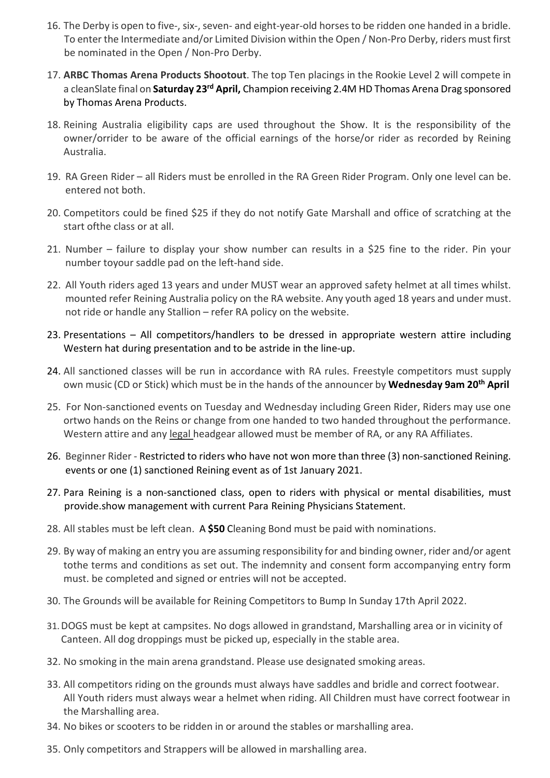- 16. The Derby is open to five-, six-, seven- and eight-year-old horsesto be ridden one handed in a bridle. To enter the Intermediate and/or Limited Division within the Open / Non-Pro Derby, riders must first be nominated in the Open / Non-Pro Derby.
- 17. **ARBC Thomas Arena Products Shootout**. The top Ten placings in the Rookie Level 2 will compete in a cleanSlate final on **Saturday 23rd April,** Champion receiving 2.4M HD Thomas Arena Drag sponsored by Thomas Arena Products.
- 18. Reining Australia eligibility caps are used throughout the Show. It is the responsibility of the owner/orrider to be aware of the official earnings of the horse/or rider as recorded by Reining Australia.
- 19. RA Green Rider all Riders must be enrolled in the RA Green Rider Program. Only one level can be. entered not both.
- 20. Competitors could be fined \$25 if they do not notify Gate Marshall and office of scratching at the start ofthe class or at all.
- 21. Number failure to display your show number can results in a \$25 fine to the rider. Pin your number toyour saddle pad on the left-hand side.
- 22. All Youth riders aged 13 years and under MUST wear an approved safety helmet at all times whilst. mounted refer Reining Australia policy on the RA website. Any youth aged 18 years and under must. not ride or handle any Stallion – refer RA policy on the website.
- 23. Presentations All competitors/handlers to be dressed in appropriate western attire including Western hat during presentation and to be astride in the line-up.
- 24. All sanctioned classes will be run in accordance with RA rules. Freestyle competitors must supply own music (CD or Stick) which must be in the hands of the announcer by **Wednesday 9am 20th April**
- 25. For Non-sanctioned events on Tuesday and Wednesday including Green Rider, Riders may use one ortwo hands on the Reins or change from one handed to two handed throughout the performance. Western attire and any legal headgear allowed must be member of RA, or any RA Affiliates.
- 26. Beginner Rider Restricted to riders who have not won more than three (3) non-sanctioned Reining. events or one (1) sanctioned Reining event as of 1st January 2021.
- 27. Para Reining is a non-sanctioned class, open to riders with physical or mental disabilities, must provide.show management with current Para Reining Physicians Statement.
- 28. All stables must be left clean. A **\$50** Cleaning Bond must be paid with nominations.
- 29. By way of making an entry you are assuming responsibility for and binding owner, rider and/or agent tothe terms and conditions as set out. The indemnity and consent form accompanying entry form must. be completed and signed or entries will not be accepted.
- 30. The Grounds will be available for Reining Competitors to Bump In Sunday 17th April 2022.
- 31.DOGS must be kept at campsites. No dogs allowed in grandstand, Marshalling area or in vicinity of Canteen. All dog droppings must be picked up, especially in the stable area.
- 32. No smoking in the main arena grandstand. Please use designated smoking areas.
- 33. All competitors riding on the grounds must always have saddles and bridle and correct footwear. All Youth riders must always wear a helmet when riding. All Children must have correct footwear in the Marshalling area.
- 34. No bikes or scooters to be ridden in or around the stables or marshalling area.
- 35. Only competitors and Strappers will be allowed in marshalling area.